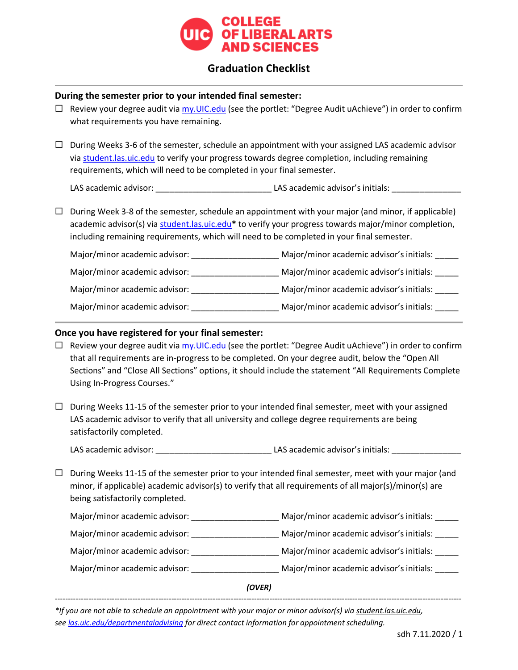

# **Graduation Checklist**

### **During the semester prior to your intended final semester:**

- $\Box$  Review your degree audit via [my.UIC.edu](http://www.my.uic.edu/) (see the portlet: "Degree Audit uAchieve") in order to confirm what requirements you have remaining.
- $\Box$  During Weeks 3-6 of the semester, schedule an appointment with your assigned LAS academic advisor via [student.las.uic.edu](http://www.student.las.uic.edu/) to verify your progress towards degree completion, including remaining requirements, which will need to be completed in your final semester.

LAS academic advisor: \_\_\_\_\_\_\_\_\_\_\_\_\_\_\_\_\_\_\_\_\_\_\_\_\_ LAS academic advisor's initials: \_\_\_\_\_\_\_\_\_\_\_\_\_\_\_

 $\Box$  During Week 3-8 of the semester, schedule an appointment with your major (and minor, if applicable) academic advisor(s) via [student.las.uic.edu](http://www.student.las.uic.edu/)**\*** to verify your progress towards major/minor completion, including remaining requirements, which will need to be completed in your final semester.

| Major/minor academic advisor: | Major/minor academic advisor's initials: |
|-------------------------------|------------------------------------------|
| Major/minor academic advisor: | Major/minor academic advisor's initials: |
| Major/minor academic advisor: | Major/minor academic advisor's initials: |
| Major/minor academic advisor: | Major/minor academic advisor's initials: |

### **Once you have registered for your final semester:**

- $\Box$  Review your degree audit via [my.UIC.edu](http://www.my.uic.edu/) (see the portlet: "Degree Audit uAchieve") in order to confirm that all requirements are in-progress to be completed. On your degree audit, below the "Open All Sections" and "Close All Sections" options, it should include the statement "All Requirements Complete Using In-Progress Courses."
- $\Box$  During Weeks 11-15 of the semester prior to your intended final semester, meet with your assigned LAS academic advisor to verify that all university and college degree requirements are being satisfactorily completed.

LAS academic advisor: \_\_\_\_\_\_\_\_\_\_\_\_\_\_\_\_\_\_\_\_\_\_\_\_\_ LAS academic advisor's initials: \_\_\_\_\_\_\_\_\_\_\_\_\_\_\_

 $\Box$  During Weeks 11-15 of the semester prior to your intended final semester, meet with your major (and minor, if applicable) academic advisor(s) to verify that all requirements of all major(s)/minor(s) are being satisfactorily completed.

| (OVER)                        |  |                                          |
|-------------------------------|--|------------------------------------------|
| Major/minor academic advisor: |  | Major/minor academic advisor's initials: |
| Major/minor academic advisor: |  | Major/minor academic advisor's initials: |
| Major/minor academic advisor: |  | Major/minor academic advisor's initials: |
| Major/minor academic advisor: |  | Major/minor academic advisor's initials: |

*\*If you are not able to schedule an appointment with your major or minor advisor(s) via student.las.uic.edu, se[e las.uic.edu/departmentaladvising](http://www.las.uic.edu/departmentaladvising) for direct contact information for appointment scheduling.*